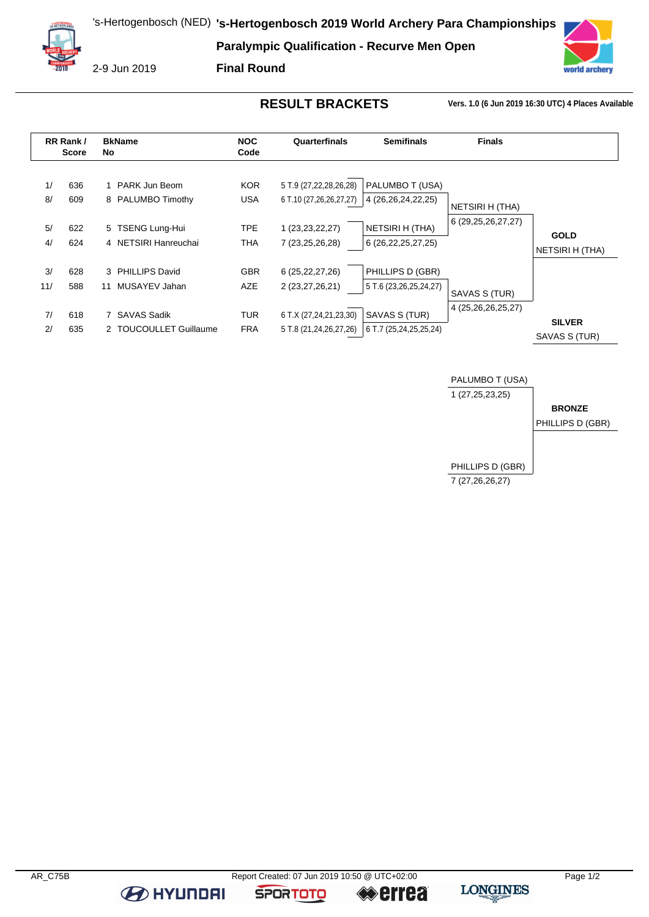**Paralympic Qualification - Recurve Men Open**



2-9 Jun 2019

**Final Round**

**RESULT BRACKETS Vers. 1.0 (6 Jun 2019 16:30 UTC) 4 Places Available**

vorld archery





**B** HYUNDAI

**SPORTOTO** 

**errea** 

**LONGINES**